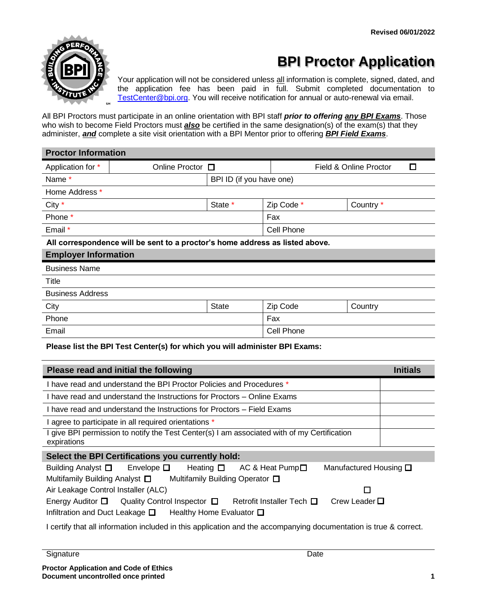

# **BPI Proctor Application**

Your application will not be considered unless all information is complete, signed, dated, and the application fee has been paid in full. Submit completed documentation to [TestCenter@bpi.org.](mailto:TestCenter@bpi.org) You will receive notification for annual or auto-renewal via email.

All BPI Proctors must participate in an online orientation with BPI staff *prior to offering any BPI Exams*. Those who wish to become Field Proctors must *also* be certified in the same designation(s) of the exam(s) that they administer, *and* complete a site visit orientation with a BPI Mentor prior to offering *BPI Field Exams*.

| <b>Proctor Information</b>                                                   |                          |              |                             |           |  |  |
|------------------------------------------------------------------------------|--------------------------|--------------|-----------------------------|-----------|--|--|
| Application for *                                                            | Online Proctor $\Box$    |              | Field & Online Proctor<br>П |           |  |  |
| Name *                                                                       | BPI ID (if you have one) |              |                             |           |  |  |
| Home Address *                                                               |                          |              |                             |           |  |  |
| City $*$                                                                     |                          | State *      | Zip Code *                  | Country * |  |  |
| Phone *                                                                      |                          |              | Fax                         |           |  |  |
| Email *                                                                      |                          |              | Cell Phone                  |           |  |  |
| All correspondence will be sent to a proctor's home address as listed above. |                          |              |                             |           |  |  |
| <b>Employer Information</b>                                                  |                          |              |                             |           |  |  |
| <b>Business Name</b>                                                         |                          |              |                             |           |  |  |
| Title                                                                        |                          |              |                             |           |  |  |
| <b>Business Address</b>                                                      |                          |              |                             |           |  |  |
| City                                                                         |                          | <b>State</b> | Zip Code                    | Country   |  |  |
| Phone                                                                        |                          |              | Fax                         |           |  |  |
| Email                                                                        |                          | Cell Phone   |                             |           |  |  |

#### **Please list the BPI Test Center(s) for which you will administer BPI Exams:**

| Please read and initial the following                                                                                                                                                   | <b>Initials</b> |  |  |  |  |
|-----------------------------------------------------------------------------------------------------------------------------------------------------------------------------------------|-----------------|--|--|--|--|
| I have read and understand the BPI Proctor Policies and Procedures *                                                                                                                    |                 |  |  |  |  |
| I have read and understand the Instructions for Proctors – Online Exams                                                                                                                 |                 |  |  |  |  |
| I have read and understand the Instructions for Proctors – Field Exams                                                                                                                  |                 |  |  |  |  |
| I agree to participate in all required orientations *                                                                                                                                   |                 |  |  |  |  |
| I give BPI permission to notify the Test Center(s) I am associated with of my Certification<br>expirations                                                                              |                 |  |  |  |  |
| Select the BPI Certifications you currently hold:                                                                                                                                       |                 |  |  |  |  |
| Building Analyst $\Box$ Envelope $\Box$ Heating $\Box$<br>Manufactured Housing $\square$<br>AC & Heat Pump $\square$                                                                    |                 |  |  |  |  |
| Multifamily Building Analyst □ Multifamily Building Operator □                                                                                                                          |                 |  |  |  |  |
| Air Leakage Control Installer (ALC)<br>П                                                                                                                                                |                 |  |  |  |  |
| Crew Leader $\Box$<br>Energy Auditor $\Box$ Quality Control Inspector $\Box$ Retrofit Installer Tech $\Box$<br>Infiltration and Duct Leakage $\square$ Healthy Home Evaluator $\square$ |                 |  |  |  |  |

I certify that all information included in this application and the accompanying documentation is true & correct.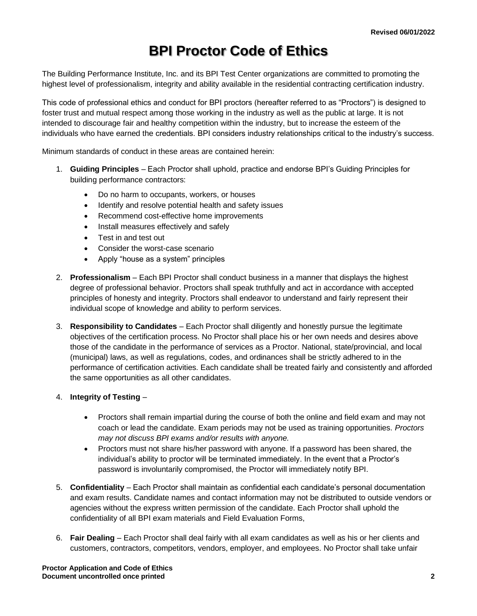### **BPI Proctor Code of Ethics**

The Building Performance Institute, Inc. and its BPI Test Center organizations are committed to promoting the highest level of professionalism, integrity and ability available in the residential contracting certification industry.

This code of professional ethics and conduct for BPI proctors (hereafter referred to as "Proctors") is designed to foster trust and mutual respect among those working in the industry as well as the public at large. It is not intended to discourage fair and healthy competition within the industry, but to increase the esteem of the individuals who have earned the credentials. BPI considers industry relationships critical to the industry's success.

Minimum standards of conduct in these areas are contained herein:

- 1. **Guiding Principles**  Each Proctor shall uphold, practice and endorse BPI's Guiding Principles for building performance contractors:
	- Do no harm to occupants, workers, or houses
	- Identify and resolve potential health and safety issues
	- Recommend cost-effective home improvements
	- Install measures effectively and safely
	- Test in and test out
	- Consider the worst-case scenario
	- Apply "house as a system" principles
- 2. **Professionalism** Each BPI Proctor shall conduct business in a manner that displays the highest degree of professional behavior. Proctors shall speak truthfully and act in accordance with accepted principles of honesty and integrity. Proctors shall endeavor to understand and fairly represent their individual scope of knowledge and ability to perform services.
- 3. **Responsibility to Candidates**  Each Proctor shall diligently and honestly pursue the legitimate objectives of the certification process. No Proctor shall place his or her own needs and desires above those of the candidate in the performance of services as a Proctor. National, state/provincial, and local (municipal) laws, as well as regulations, codes, and ordinances shall be strictly adhered to in the performance of certification activities. Each candidate shall be treated fairly and consistently and afforded the same opportunities as all other candidates.

#### 4. **Integrity of Testing** –

- Proctors shall remain impartial during the course of both the online and field exam and may not coach or lead the candidate. Exam periods may not be used as training opportunities. *Proctors may not discuss BPI exams and/or results with anyone.*
- Proctors must not share his/her password with anyone. If a password has been shared, the individual's ability to proctor will be terminated immediately. In the event that a Proctor's password is involuntarily compromised, the Proctor will immediately notify BPI.
- 5. **Confidentiality**  Each Proctor shall maintain as confidential each candidate's personal documentation and exam results. Candidate names and contact information may not be distributed to outside vendors or agencies without the express written permission of the candidate. Each Proctor shall uphold the confidentiality of all BPI exam materials and Field Evaluation Forms,
- 6. **Fair Dealing**  Each Proctor shall deal fairly with all exam candidates as well as his or her clients and customers, contractors, competitors, vendors, employer, and employees. No Proctor shall take unfair